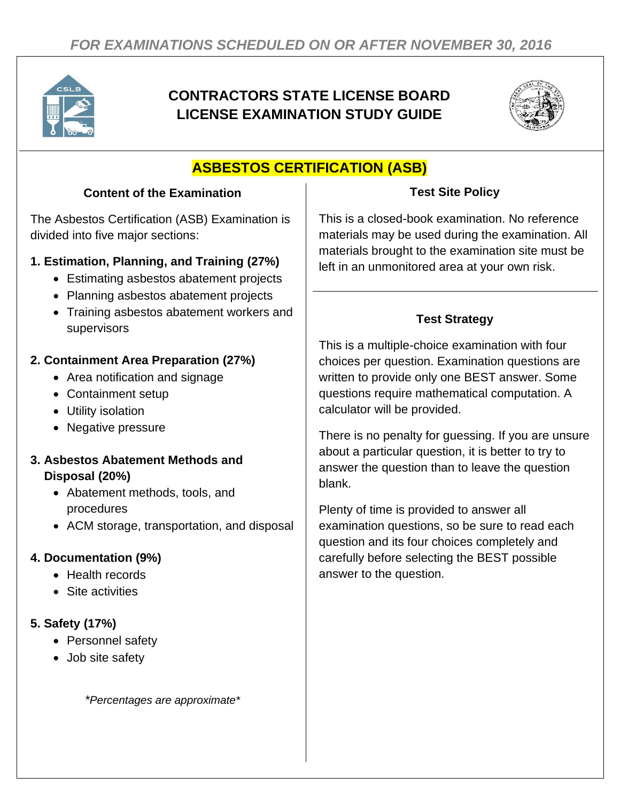

# **CONTRACTORS STATE LICENSE BOARD LICENSE EXAMINATION STUDY GUIDE**



# **ASBESTOS CERTIFICATION (ASB)**

## **Content of the Examination**

The Asbestos Certification (ASB) Examination is divided into five major sections:

## **1. Estimation, Planning, and Training (27%)**

- Estimating asbestos abatement projects
- Planning asbestos abatement projects
- Training asbestos abatement workers and supervisors

## **2. Containment Area Preparation (27%)**

- Area notification and signage
- Containment setup
- Utility isolation
- Negative pressure

#### **3. Asbestos Abatement Methods and Disposal (20%)**

- Abatement methods, tools, and procedures
- ACM storage, transportation, and disposal

## **4. Documentation (9%)**

- Health records
- Site activities

## **5. Safety (17%)**

- Personnel safety
- Job site safety

*\*Percentages are approximate\**

## **Test Site Policy**

This is a closed-book examination. No reference materials may be used during the examination. All materials brought to the examination site must be left in an unmonitored area at your own risk.

## **Test Strategy**

This is a multiple-choice examination with four choices per question. Examination questions are written to provide only one BEST answer. Some questions require mathematical computation. A calculator will be provided.

There is no penalty for guessing. If you are unsure about a particular question, it is better to try to answer the question than to leave the question blank.

Plenty of time is provided to answer all examination questions, so be sure to read each question and its four choices completely and carefully before selecting the BEST possible answer to the question.